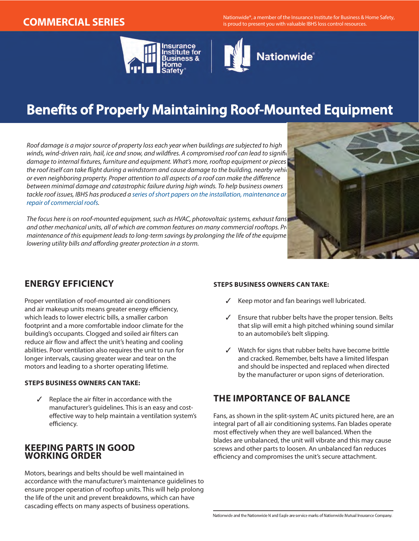**COMMERCIAL SERIES** Nationwide®, a member of the Insurance Institute for Business & Home Safety, is proud to present you with valuable IBHS loss control resources.





# **Benefits of Properly Maintaining Roof-Mounted Equipment**

*Roof damage is a major source of property loss each year when buildings are subjected to high*  winds, wind-driven rain, hail, ice and snow, and wildfires. A compromised roof can lead to signific damage to internal fixtures, furniture and equipment. What's more, rooftop equipment or pieces the roof itself can take flight during a windstorm and cause damage to the building, nearby vehicles, *or even neighboring property. Proper attention to all aspects of a roof can make the difference between minimal damage and catastrophic failure during high winds. To help business owners*  tackle roof issues, IBHS has produced a series of short papers on the installation, maintenance ar *[repair of commercial roofs](http://disastersafety.org/commercial_maintenance/).*

*The focus here is on roof-mounted equipment, such as HVAC, photovoltaic systems, exhaust fans,*  and other mechanical units, all of which are common features on many commercial rooftops. Proper maintenance of this equipment leads to long-term savings by prolonging the life of the equipme *lowering utility bills and affording greater protection in a storm.*



## **ENERGY EFFICIENCY**

Proper ventilation of roof-mounted air conditioners and air makeup units means greater energy efficiency, which leads to lower electric bills, a smaller carbon footprint and a more comfortable indoor climate for the building's occupants. Clogged and soiled air filters can reduce air flow and affect the unit's heating and cooling abilities. Poor ventilation also requires the unit to run for longer intervals, causing greater wear and tear on the motors and leading to a shorter operating lifetime.

#### **STEPS BUSINESS OWNERS CAN TAKE:**

✓ Replace the air filter in accordance with the manufacturer's guidelines. This is an easy and costeffective way to help maintain a ventilation system's efficiency.

### **KEEPING PARTS IN GOOD WORKING ORDER**

Motors, bearings and belts should be well maintained in accordance with the manufacturer's maintenance guidelines to ensure proper operation of rooftop units. This will help prolong the life of the unit and prevent breakdowns, which can have cascading effects on many aspects of business operations.

#### **STEPS BUSINESS OWNERS CAN TAKE:**

- ✓ Keep motor and fan bearings well lubricated.
- ✓ Ensure that rubber belts have the proper tension. Belts that slip will emit a high pitched whining sound similar to an automobile's belt slipping.
- ✓ Watch for signs that rubber belts have become brittle and cracked. Remember, belts have a limited lifespan and should be inspected and replaced when directed by the manufacturer or upon signs of deterioration.

# **THE IMPORTANCE OF BALANCE**

Fans, as shown in the split-system AC units pictured here, are an integral part of all air conditioning systems. Fan blades operate most effectively when they are well balanced. When the blades are unbalanced, the unit will vibrate and this may cause screws and other parts to loosen. An unbalanced fan reduces efficiency and compromises the unit's secure attachment.

Nationwide and the Nationwide N and Eagle are service marks of Nationwide Mutual Insurance Company.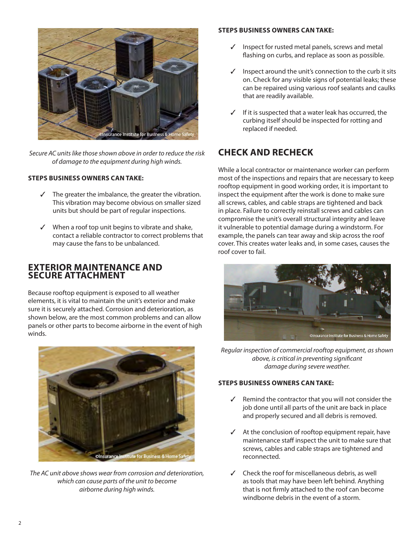

*Secure AC units like those shown above in order to reduce the risk of damage to the equipment during high winds.*

#### **STEPS BUSINESS OWNERS CAN TAKE:**

- $\checkmark$  The greater the imbalance, the greater the vibration. This vibration may become obvious on smaller sized units but should be part of regular inspections.
- ✓ When a roof top unit begins to vibrate and shake, contact a reliable contractor to correct problems that may cause the fans to be unbalanced.

### **EXTERIOR MAINTENANCE AND SECURE ATTACHMENT**

Because rooftop equipment is exposed to all weather elements, it is vital to maintain the unit's exterior and make sure it is securely attached. Corrosion and deterioration, as shown below, are the most common problems and can allow panels or other parts to become airborne in the event of high winds.



*The AC unit above shows wear from corrosion and deterioration, which can cause parts of the unit to become airborne during high winds.* 

#### **STEPS BUSINESS OWNERS CAN TAKE:**

- ✓ Inspect for rusted metal panels, screws and metal flashing on curbs, and replace as soon as possible.
- ✓ Inspect around the unit's connection to the curb it sits on. Check for any visible signs of potential leaks; these can be repaired using various roof sealants and caulks that are readily available.
- ✓ If it is suspected that a water leak has occurred, the curbing itself should be inspected for rotting and replaced if needed.

# **CHECK AND RECHECK**

While a local contractor or maintenance worker can perform most of the inspections and repairs that are necessary to keep rooftop equipment in good working order, it is important to inspect the equipment after the work is done to make sure all screws, cables, and cable straps are tightened and back in place. Failure to correctly reinstall screws and cables can compromise the unit's overall structural integrity and leave it vulnerable to potential damage during a windstorm. For example, the panels can tear away and skip across the roof cover. This creates water leaks and, in some cases, causes the roof cover to fail.



*Regular inspection of commercial rooftop equipment, as shown above, is critical in preventing significant damage during severe weather.*

#### **STEPS BUSINESS OWNERS CAN TAKE:**

- ✓ Remind the contractor that you will not consider the job done until all parts of the unit are back in place and properly secured and all debris is removed.
- ✓ At the conclusion of rooftop equipment repair, have maintenance staff inspect the unit to make sure that screws, cables and cable straps are tightened and reconnected.
- ✓ Check the roof for miscellaneous debris, as well as tools that may have been left behind. Anything that is not firmly attached to the roof can become windborne debris in the event of a storm.